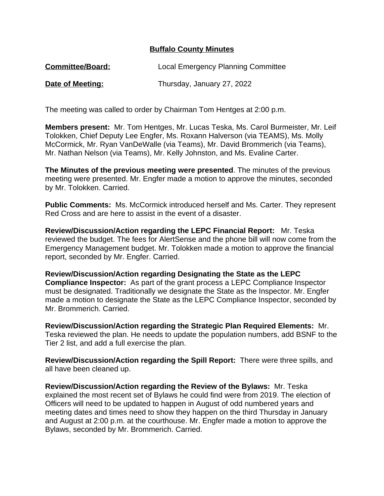## **Buffalo County Minutes**

| <b>Committee/Board:</b> | Local Emergency Planning Committee |
|-------------------------|------------------------------------|
| <b>Date of Meeting:</b> | Thursday, January 27, 2022         |

The meeting was called to order by Chairman Tom Hentges at 2:00 p.m.

**Members present:** Mr. Tom Hentges, Mr. Lucas Teska, Ms. Carol Burmeister, Mr. Leif Tolokken, Chief Deputy Lee Engfer, Ms. Roxann Halverson (via TEAMS), Ms. Molly McCormick, Mr. Ryan VanDeWalle (via Teams), Mr. David Brommerich (via Teams), Mr. Nathan Nelson (via Teams), Mr. Kelly Johnston, and Ms. Evaline Carter.

**The Minutes of the previous meeting were presented**. The minutes of the previous meeting were presented. Mr. Engfer made a motion to approve the minutes, seconded by Mr. Tolokken. Carried.

**Public Comments:** Ms. McCormick introduced herself and Ms. Carter. They represent Red Cross and are here to assist in the event of a disaster.

**Review/Discussion/Action regarding the LEPC Financial Report:** Mr. Teska reviewed the budget. The fees for AlertSense and the phone bill will now come from the Emergency Management budget. Mr. Tolokken made a motion to approve the financial report, seconded by Mr. Engfer. Carried.

**Review/Discussion/Action regarding Designating the State as the LEPC Compliance Inspector:** As part of the grant process a LEPC Compliance Inspector must be designated. Traditionally we designate the State as the Inspector. Mr. Engfer made a motion to designate the State as the LEPC Compliance Inspector, seconded by Mr. Brommerich. Carried.

**Review/Discussion/Action regarding the Strategic Plan Required Elements:** Mr. Teska reviewed the plan. He needs to update the population numbers, add BSNF to the Tier 2 list, and add a full exercise the plan.

**Review/Discussion/Action regarding the Spill Report:** There were three spills, and all have been cleaned up.

**Review/Discussion/Action regarding the Review of the Bylaws:** Mr. Teska explained the most recent set of Bylaws he could find were from 2019. The election of Officers will need to be updated to happen in August of odd numbered years and meeting dates and times need to show they happen on the third Thursday in January and August at 2:00 p.m. at the courthouse. Mr. Engfer made a motion to approve the Bylaws, seconded by Mr. Brommerich. Carried.